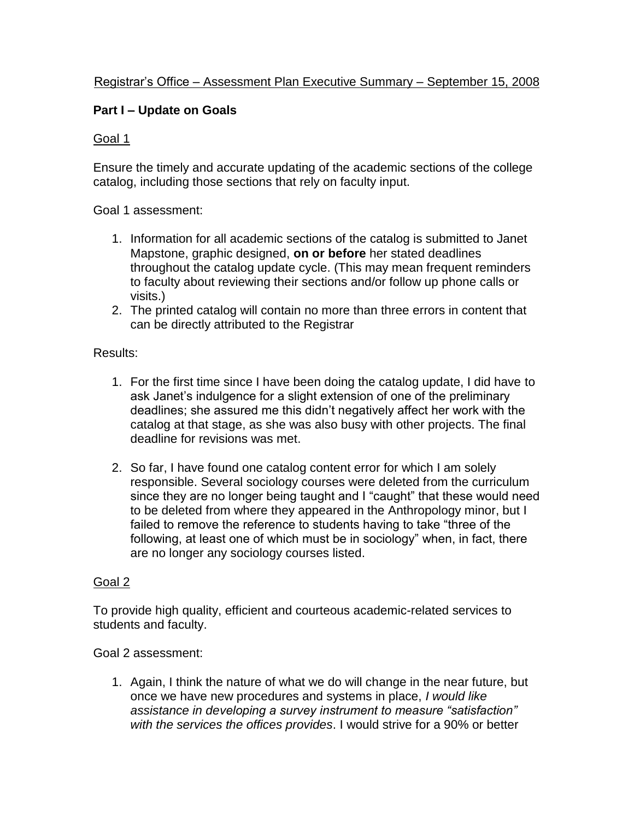# Registrar's Office – Assessment Plan Executive Summary – September 15, 2008

# **Part I – Update on Goals**

#### Goal 1

Ensure the timely and accurate updating of the academic sections of the college catalog, including those sections that rely on faculty input.

#### Goal 1 assessment:

- 1. Information for all academic sections of the catalog is submitted to Janet Mapstone, graphic designed, **on or before** her stated deadlines throughout the catalog update cycle. (This may mean frequent reminders to faculty about reviewing their sections and/or follow up phone calls or visits.)
- 2. The printed catalog will contain no more than three errors in content that can be directly attributed to the Registrar

#### Results:

- 1. For the first time since I have been doing the catalog update, I did have to ask Janet's indulgence for a slight extension of one of the preliminary deadlines; she assured me this didn't negatively affect her work with the catalog at that stage, as she was also busy with other projects. The final deadline for revisions was met.
- 2. So far, I have found one catalog content error for which I am solely responsible. Several sociology courses were deleted from the curriculum since they are no longer being taught and I "caught" that these would need to be deleted from where they appeared in the Anthropology minor, but I failed to remove the reference to students having to take "three of the following, at least one of which must be in sociology" when, in fact, there are no longer any sociology courses listed.

#### Goal 2

To provide high quality, efficient and courteous academic-related services to students and faculty.

Goal 2 assessment:

1. Again, I think the nature of what we do will change in the near future, but once we have new procedures and systems in place, *I would like assistance in developing a survey instrument to measure "satisfaction" with the services the offices provides*. I would strive for a 90% or better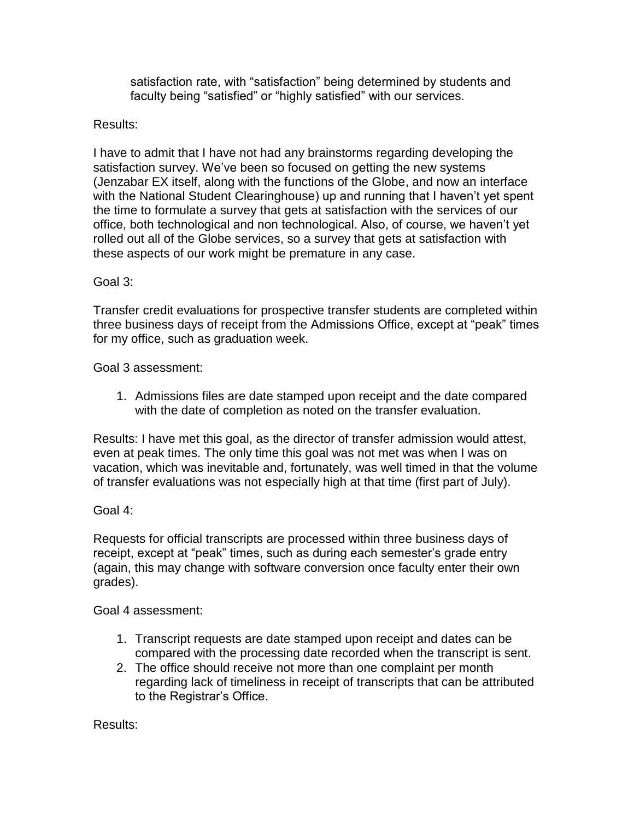satisfaction rate, with "satisfaction" being determined by students and faculty being "satisfied" or "highly satisfied" with our services.

## Results:

I have to admit that I have not had any brainstorms regarding developing the satisfaction survey. We've been so focused on getting the new systems (Jenzabar EX itself, along with the functions of the Globe, and now an interface with the National Student Clearinghouse) up and running that I haven't yet spent the time to formulate a survey that gets at satisfaction with the services of our office, both technological and non technological. Also, of course, we haven't yet rolled out all of the Globe services, so a survey that gets at satisfaction with these aspects of our work might be premature in any case.

## Goal 3:

Transfer credit evaluations for prospective transfer students are completed within three business days of receipt from the Admissions Office, except at "peak" times for my office, such as graduation week.

Goal 3 assessment:

1. Admissions files are date stamped upon receipt and the date compared with the date of completion as noted on the transfer evaluation.

Results: I have met this goal, as the director of transfer admission would attest, even at peak times. The only time this goal was not met was when I was on vacation, which was inevitable and, fortunately, was well timed in that the volume of transfer evaluations was not especially high at that time (first part of July).

# Goal 4:

Requests for official transcripts are processed within three business days of receipt, except at "peak" times, such as during each semester's grade entry (again, this may change with software conversion once faculty enter their own grades).

Goal 4 assessment:

- 1. Transcript requests are date stamped upon receipt and dates can be compared with the processing date recorded when the transcript is sent.
- 2. The office should receive not more than one complaint per month regarding lack of timeliness in receipt of transcripts that can be attributed to the Registrar's Office.

Results: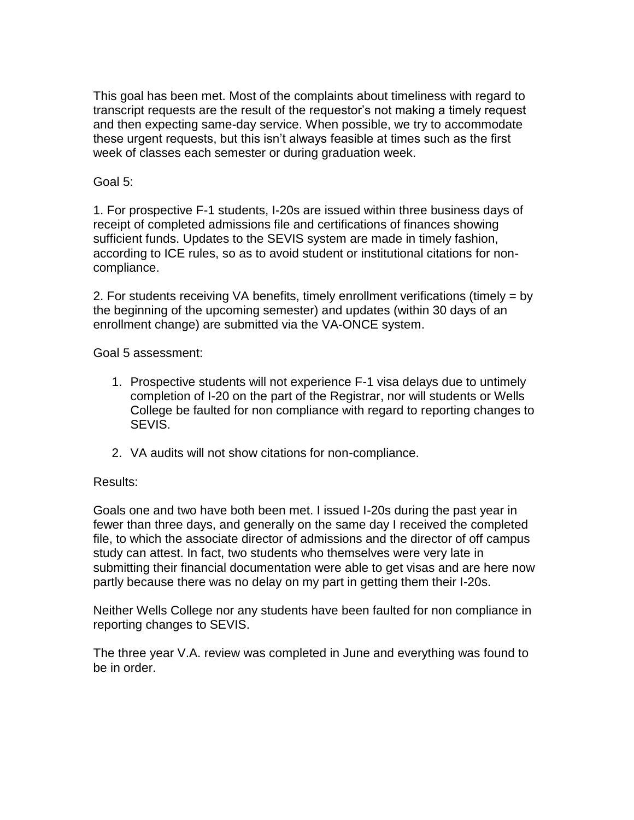This goal has been met. Most of the complaints about timeliness with regard to transcript requests are the result of the requestor's not making a timely request and then expecting same-day service. When possible, we try to accommodate these urgent requests, but this isn't always feasible at times such as the first week of classes each semester or during graduation week.

## Goal 5:

1. For prospective F-1 students, I-20s are issued within three business days of receipt of completed admissions file and certifications of finances showing sufficient funds. Updates to the SEVIS system are made in timely fashion, according to ICE rules, so as to avoid student or institutional citations for noncompliance.

2. For students receiving VA benefits, timely enrollment verifications (timely = by the beginning of the upcoming semester) and updates (within 30 days of an enrollment change) are submitted via the VA-ONCE system.

Goal 5 assessment:

- 1. Prospective students will not experience F-1 visa delays due to untimely completion of I-20 on the part of the Registrar, nor will students or Wells College be faulted for non compliance with regard to reporting changes to SEVIS.
- 2. VA audits will not show citations for non-compliance.

# Results:

Goals one and two have both been met. I issued I-20s during the past year in fewer than three days, and generally on the same day I received the completed file, to which the associate director of admissions and the director of off campus study can attest. In fact, two students who themselves were very late in submitting their financial documentation were able to get visas and are here now partly because there was no delay on my part in getting them their I-20s.

Neither Wells College nor any students have been faulted for non compliance in reporting changes to SEVIS.

The three year V.A. review was completed in June and everything was found to be in order.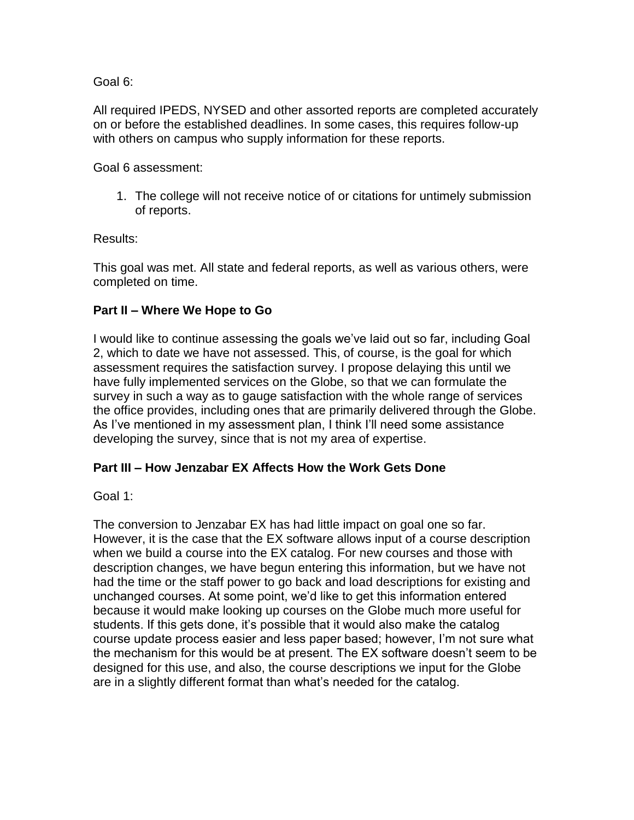Goal 6:

All required IPEDS, NYSED and other assorted reports are completed accurately on or before the established deadlines. In some cases, this requires follow-up with others on campus who supply information for these reports.

Goal 6 assessment:

1. The college will not receive notice of or citations for untimely submission of reports.

Results:

This goal was met. All state and federal reports, as well as various others, were completed on time.

# **Part II – Where We Hope to Go**

I would like to continue assessing the goals we've laid out so far, including Goal 2, which to date we have not assessed. This, of course, is the goal for which assessment requires the satisfaction survey. I propose delaying this until we have fully implemented services on the Globe, so that we can formulate the survey in such a way as to gauge satisfaction with the whole range of services the office provides, including ones that are primarily delivered through the Globe. As I've mentioned in my assessment plan, I think I'll need some assistance developing the survey, since that is not my area of expertise.

# **Part III – How Jenzabar EX Affects How the Work Gets Done**

Goal 1:

The conversion to Jenzabar EX has had little impact on goal one so far. However, it is the case that the EX software allows input of a course description when we build a course into the EX catalog. For new courses and those with description changes, we have begun entering this information, but we have not had the time or the staff power to go back and load descriptions for existing and unchanged courses. At some point, we'd like to get this information entered because it would make looking up courses on the Globe much more useful for students. If this gets done, it's possible that it would also make the catalog course update process easier and less paper based; however, I'm not sure what the mechanism for this would be at present. The EX software doesn't seem to be designed for this use, and also, the course descriptions we input for the Globe are in a slightly different format than what's needed for the catalog.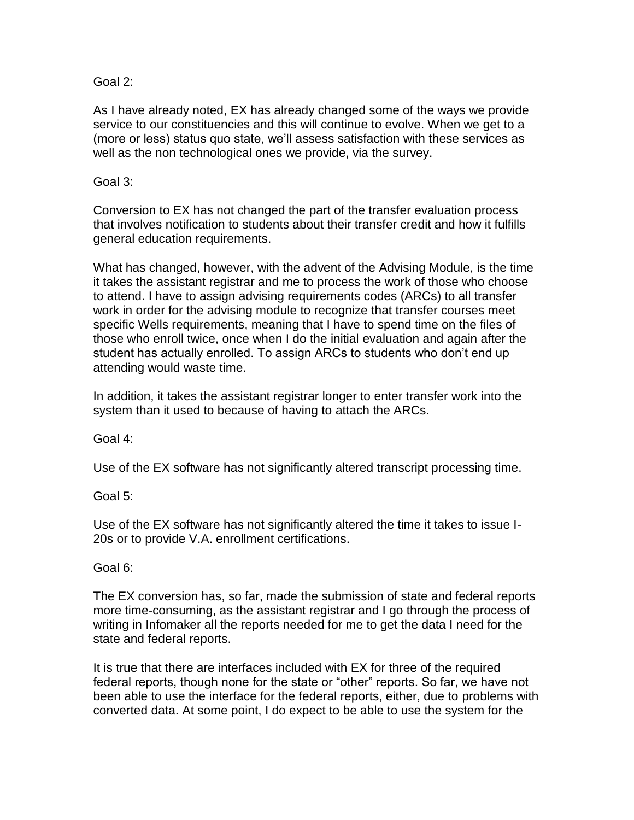Goal 2:

As I have already noted, EX has already changed some of the ways we provide service to our constituencies and this will continue to evolve. When we get to a (more or less) status quo state, we'll assess satisfaction with these services as well as the non technological ones we provide, via the survey.

### Goal 3:

Conversion to EX has not changed the part of the transfer evaluation process that involves notification to students about their transfer credit and how it fulfills general education requirements.

What has changed, however, with the advent of the Advising Module, is the time it takes the assistant registrar and me to process the work of those who choose to attend. I have to assign advising requirements codes (ARCs) to all transfer work in order for the advising module to recognize that transfer courses meet specific Wells requirements, meaning that I have to spend time on the files of those who enroll twice, once when I do the initial evaluation and again after the student has actually enrolled. To assign ARCs to students who don't end up attending would waste time.

In addition, it takes the assistant registrar longer to enter transfer work into the system than it used to because of having to attach the ARCs.

Goal 4:

Use of the EX software has not significantly altered transcript processing time.

Goal 5:

Use of the EX software has not significantly altered the time it takes to issue I-20s or to provide V.A. enrollment certifications.

Goal 6:

The EX conversion has, so far, made the submission of state and federal reports more time-consuming, as the assistant registrar and I go through the process of writing in Infomaker all the reports needed for me to get the data I need for the state and federal reports.

It is true that there are interfaces included with EX for three of the required federal reports, though none for the state or "other" reports. So far, we have not been able to use the interface for the federal reports, either, due to problems with converted data. At some point, I do expect to be able to use the system for the